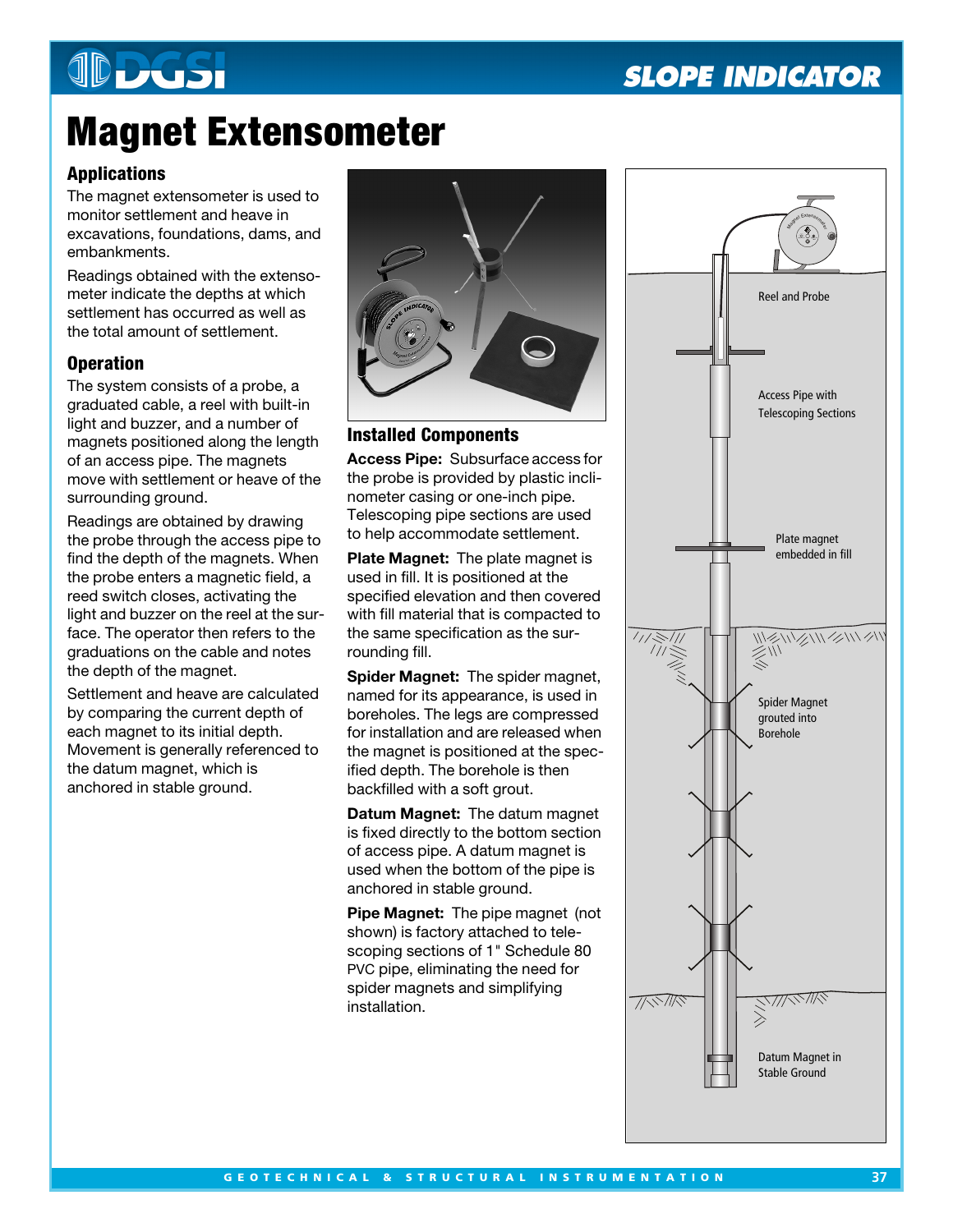# **JDDGSI**

### **SLOPE INDICATOR**

## **Magnet Extensometer**

#### **Applications**

The magnet extensometer is used to monitor settlement and heave in excavations, foundations, dams, and embankments.

Readings obtained with the extensometer indicate the depths at which settlement has occurred as well as the total amount of settlement.

#### **Operation**

The system consists of a probe, a graduated cable, a reel with built-in light and buzzer, and a number of magnets positioned along the length of an access pipe. The magnets move with settlement or heave of the surrounding ground.

Readings are obtained by drawing the probe through the access pipe to find the depth of the magnets. When the probe enters a magnetic field, a reed switch closes, activating the light and buzzer on the reel at the surface. The operator then refers to the graduations on the cable and notes the depth of the magnet.

Settlement and heave are calculated by comparing the current depth of each magnet to its initial depth. Movement is generally referenced to the datum magnet, which is anchored in stable ground.



#### **Installed Components**

**Access Pipe:** Subsurface access for the probe is provided by plastic inclinometer casing or one-inch pipe. Telescoping pipe sections are used to help accommodate settlement.

**Plate Magnet:** The plate magnet is used in fill. It is positioned at the specified elevation and then covered with fill material that is compacted to the same specification as the surrounding fill.

**Spider Magnet:** The spider magnet, named for its appearance, is used in boreholes. The legs are compressed for installation and are released when the magnet is positioned at the specified depth. The borehole is then backfilled with a soft grout.

**Datum Magnet:** The datum magnet is fixed directly to the bottom section of access pipe. A datum magnet is used when the bottom of the pipe is anchored in stable ground.

**Pipe Magnet:** The pipe magnet (not shown) is factory attached to telescoping sections of 1" Schedule 80 PVC pipe, eliminating the need for spider magnets and simplifying installation.